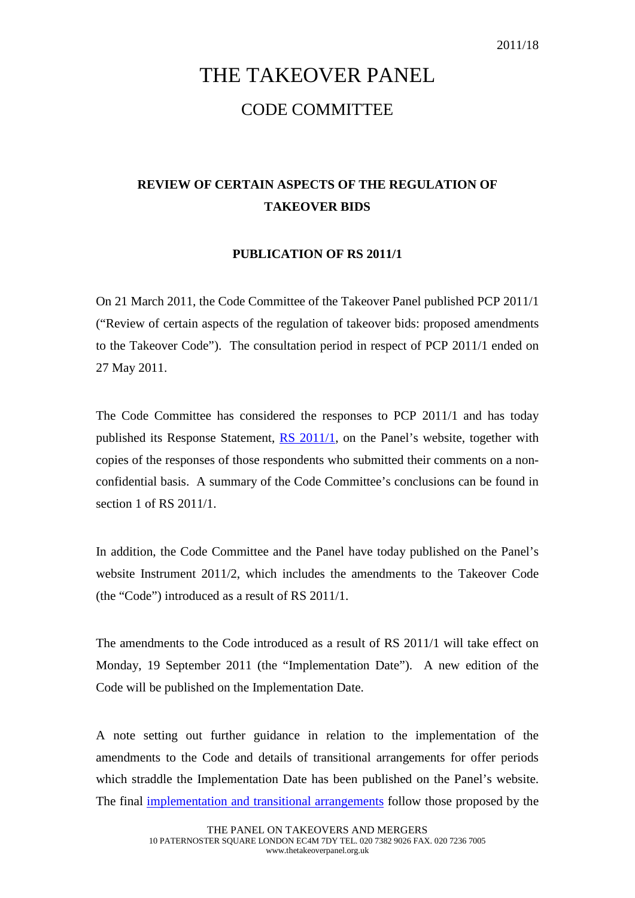## THE TAKEOVER PANEL CODE COMMITTEE

## **REVIEW OF CERTAIN ASPECTS OF THE REGULATION OF TAKEOVER BIDS**

## **PUBLICATION OF RS 2011/1**

On 21 March 2011, the Code Committee of the Takeover Panel published PCP 2011/1 ("Review of certain aspects of the regulation of takeover bids: proposed amendments to the Takeover Code"). The consultation period in respect of PCP 2011/1 ended on 27 May 2011.

The Code Committee has considered the responses to PCP 2011/1 and has today published its Response Statement, [RS 2011/1,](http://www.thetakeoverpanel.org.uk/wp-content/uploads/2008/11/RS201101.pdf) on the Panel's website, together with copies of the responses of those respondents who submitted their comments on a nonconfidential basis. A summary of the Code Committee's conclusions can be found in section 1 of RS 2011/1.

In addition, the Code Committee and the Panel have today published on the Panel's website Instrument 2011/2, which includes the amendments to the Takeover Code (the "Code") introduced as a result of RS 2011/1.

The amendments to the Code introduced as a result of RS 2011/1 will take effect on Monday, 19 September 2011 (the "Implementation Date"). A new edition of the Code will be published on the Implementation Date.

A note setting out further guidance in relation to the implementation of the amendments to the Code and details of transitional arrangements for offer periods which straddle the Implementation Date has been published on the Panel's website. The final [implementation and transitional arrangements](http://www.thetakeoverpanel.org.uk/wp-content/uploads/2008/11/transitionalarrangements.pdf) follow those proposed by the